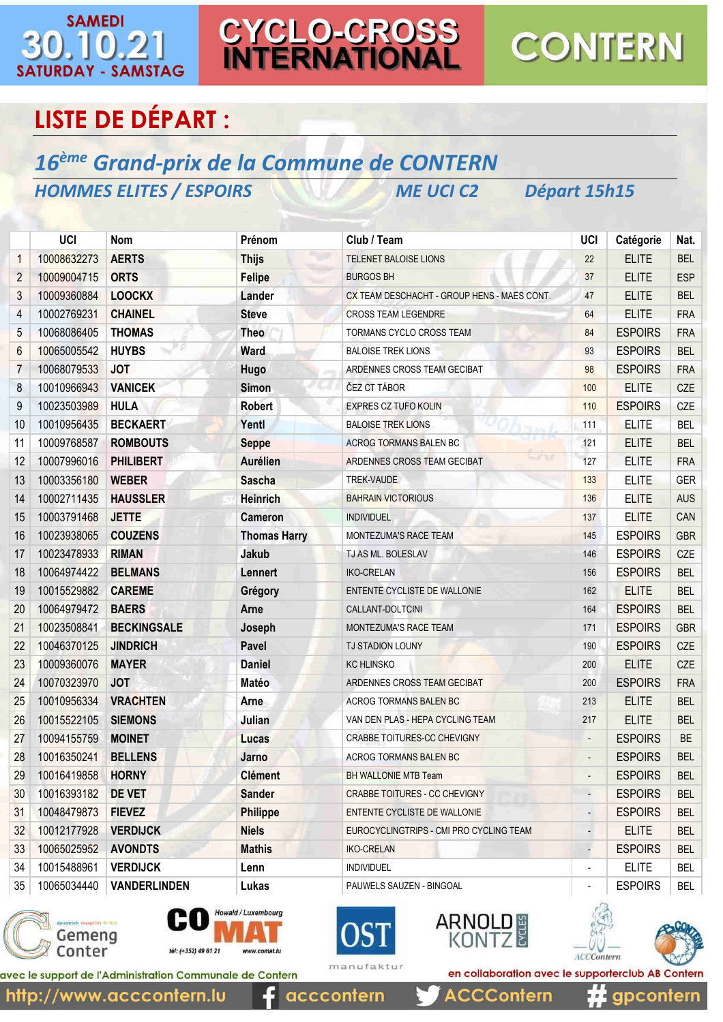#### **SAMEDI**  $\left( 0\right)$ **SATURDAY - SAMSTAG**

CYCLO-CROSS<br>INTERNATIONAL

## **CONTERN**

### **LISTE DE DÉPART :**

#### 16<sup>ème</sup> Grand-prix de la Commune de CONTERN **HOMMES ELITES / ESPOIRS ME UCI C2**

Départ 15h15

|                | UCI         | <b>Nom</b>          | Prénom              | Club / Team                                 | <b>UCI</b>               | Catégorie      | Nat.       |
|----------------|-------------|---------------------|---------------------|---------------------------------------------|--------------------------|----------------|------------|
| $\mathbf{1}$   | 10008632273 | <b>AERTS</b>        | <b>Thijs</b>        | TELENET BALOISE LIONS                       | 22                       | <b>ELITE</b>   | <b>BEL</b> |
| $\overline{2}$ | 10009004715 | <b>ORTS</b>         | <b>Felipe</b>       | <b>BURGOS BH</b>                            | 37                       | <b>ELITE</b>   | <b>ESP</b> |
| 3              | 10009360884 | <b>LOOCKX</b>       | Lander              | CX TEAM DESCHACHT - GROUP HENS - MAES CONT. | 47                       | <b>ELITE</b>   | <b>BEL</b> |
| 4              | 10002769231 | <b>CHAINEL</b>      | <b>Steve</b>        | <b>CROSS TEAM LEGENDRE</b>                  | 64                       | <b>ELITE</b>   | <b>FRA</b> |
| 5              | 10068086405 | <b>THOMAS</b>       | <b>Theo</b>         | TORMANS CYCLO CROSS TEAM                    | 84                       | <b>ESPOIRS</b> | <b>FRA</b> |
| 6              | 10065005542 | <b>HUYBS</b>        | Ward                | <b>BALOISE TREK LIONS</b>                   | 93                       | <b>ESPOIRS</b> | <b>BEL</b> |
| $\overline{7}$ | 10068079533 | <b>JOT</b>          | Hugo                | ARDENNES CROSS TEAM GECIBAT                 | 98                       | <b>ESPOIRS</b> | <b>FRA</b> |
| 8              | 10010966943 | <b>VANICEK</b>      | Simon               | ČEZ CT TÁBOR                                | 100                      | <b>ELITE</b>   | <b>CZE</b> |
| 9              | 10023503989 | <b>HULA</b>         | <b>Robert</b>       | <b>EXPRES CZ TUFO KOLIN</b>                 | 110                      | <b>ESPOIRS</b> | <b>CZE</b> |
| 10             | 10010956435 | <b>BECKAERT</b>     | Yentl               | <b>BALOISE TREK LIONS</b>                   | 111                      | <b>ELITE</b>   | <b>BEL</b> |
| 11             | 10009768587 | <b>ROMBOUTS</b>     | <b>Seppe</b>        | <b>ACROG TORMANS BALEN BC</b>               | 121                      | <b>ELITE</b>   | <b>BEL</b> |
| 12             | 10007996016 | <b>PHILIBERT</b>    | <b>Aurélien</b>     | ーノマ<br>ARDENNES CROSS TEAM GECIBAT          | 127                      | <b>ELITE</b>   | <b>FRA</b> |
| 13             | 10003356180 | <b>WEBER</b>        | <b>Sascha</b>       | TREK-VAUDE                                  | 133                      | <b>ELITE</b>   | <b>GER</b> |
| 14             | 10002711435 | <b>HAUSSLER</b>     | <b>Heinrich</b>     | <b>BAHRAIN VICTORIOUS</b>                   | 136                      | <b>ELITE</b>   | <b>AUS</b> |
| 15             | 10003791468 | <b>JETTE</b>        | <b>Cameron</b>      | <b>INDIVIDUEL</b>                           | 137                      | <b>ELITE</b>   | CAN        |
| 16             | 10023938065 | <b>COUZENS</b>      | <b>Thomas Harry</b> | <b>MONTEZUMA'S RACE TEAM</b>                | 145                      | <b>ESPOIRS</b> | <b>GBR</b> |
| 17             | 10023478933 | <b>RIMAN</b>        | Jakub               | TJ AS ML. BOLESLAV                          | 146                      | <b>ESPOIRS</b> | <b>CZE</b> |
| 18             | 10064974422 | <b>BELMANS</b>      | Lennert             | <b>IKO-CRELAN</b>                           | 156                      | <b>ESPOIRS</b> | <b>BEL</b> |
| 19             | 10015529882 | <b>CAREME</b>       | Grégory             | ENTENTE CYCLISTE DE WALLONIE                | 162                      | <b>ELITE</b>   | <b>BEL</b> |
| 20             | 10064979472 | <b>BAERS</b>        | Arne                | CALLANT-DOLTCINI                            | 164                      | <b>ESPOIRS</b> | <b>BEL</b> |
| 21             | 10023508841 | <b>BECKINGSALE</b>  | Joseph              | MONTEZUMA'S RACE TEAM                       | 171                      | <b>ESPOIRS</b> | <b>GBR</b> |
| 22             | 10046370125 | <b>JINDRICH</b>     | Pavel               | TJ STADION LOUNY                            | 190                      | <b>ESPOIRS</b> | CZE        |
| 23             | 10009360076 | <b>MAYER</b>        | <b>Daniel</b>       | <b>KC HLINSKO</b>                           | 200                      | <b>ELITE</b>   | <b>CZE</b> |
| 24             | 10070323970 | <b>JOT</b>          | Matéo               | ARDENNES CROSS TEAM GECIBAT                 | 200                      | <b>ESPOIRS</b> | <b>FRA</b> |
| 25             | 10010956334 | <b>VRACHTEN</b>     | Arne                | ACROG TORMANS BALEN BC                      | 213                      | <b>ELITE</b>   | <b>BEL</b> |
| 26             | 10015522105 | <b>SIEMONS</b>      | Julian              | VAN DEN PLAS - HEPA CYCLING TEAM            | 217                      | <b>ELITE</b>   | <b>BEL</b> |
| 27             | 10094155759 | <b>MOINET</b>       | Lucas               | CRABBE TOITURES-CC CHEVIGNY                 | $\blacksquare$           | <b>ESPOIRS</b> | <b>BE</b>  |
| 28             | 10016350241 | <b>BELLENS</b>      | <b>Jarno</b>        | <b>ACROG TORMANS BALEN BC</b>               |                          | <b>ESPOIRS</b> | <b>BEL</b> |
| 29             | 10016419858 | <b>HORNY</b>        | <b>Clément</b>      | BH WALLONIE MTB Team                        |                          | <b>ESPOIRS</b> | <b>BEL</b> |
| 30             | 10016393182 | <b>DE VET</b>       | <b>Sander</b>       | <b>CRABBE TOITURES - CC CHEVIGNY</b>        | $\centerdot$             | <b>ESPOIRS</b> | <b>BEL</b> |
| 31             | 10048479873 | <b>FIEVEZ</b>       | <b>Philippe</b>     | ENTENTE CYCLISTE DE WALLONIE                |                          | <b>ESPOIRS</b> | <b>BEL</b> |
| 32             | 10012177928 | <b>VERDIJCK</b>     | <b>Niels</b>        | EUROCYCLINGTRIPS - CMI PRO CYCLING TEAM     | н,                       | <b>ELITE</b>   | <b>BEL</b> |
| 33             | 10065025952 | <b>AVONDTS</b>      | <b>Mathis</b>       | <b>IKO-CRELAN</b>                           | $\overline{a}$           | <b>ESPOIRS</b> | <b>BEL</b> |
| 34             | 10015488961 | <b>VERDIJCK</b>     | Lenn                | <b>INDIVIDUEL</b>                           | $\overline{\phantom{0}}$ | <b>ELITE</b>   | <b>BEL</b> |
| 35             | 10065034440 | <b>VANDERLINDEN</b> | Lukas               | PAUWELS SAUZEN - BINGOAL                    | $\overline{\phantom{0}}$ | <b>ESPOIRS</b> | BEL        |









**ACCContern** 





gpcontern

avec le support de l'Administration Communale de Contern

acccontern

en collaboration avec le supporterclub AB Contern